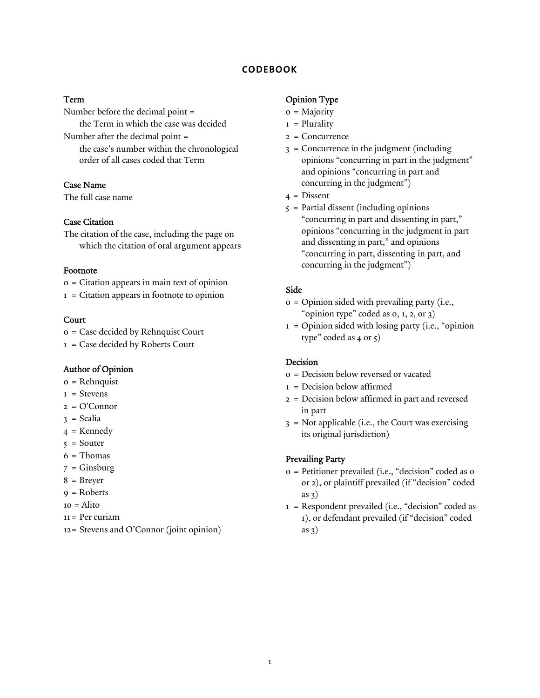### **CODEBOOK**

#### Term

Number before the decimal point = the Term in which the case was decided Number after the decimal point = the case's number within the chronological order of all cases coded that Term

## Case Name

The full case name

## Case Citation

The citation of the case, including the page on which the citation of oral argument appears

#### Footnote

0 = Citation appears in main text of opinion

1 = Citation appears in footnote to opinion

#### Court

0 = Case decided by Rehnquist Court

1 = Case decided by Roberts Court

#### Author of Opinion

- 0 = Rehnquist
- $1 =$ Stevens
- 2 = O'Connor
- 3 = Scalia
- $4$  = Kennedy
- $5 =$  Souter
- $6$  = Thomas
- $7 =$  Ginsburg
- 8 = Breyer
- $9 = \text{Roberts}$
- $10 =$ Alito
- 11 = Per curiam
- 12 = Stevens and O'Connor (joint opinion)

#### Opinion Type

- 0 = Majority
- $1$  = Plurality
- 2 = Concurrence
- 3 = Concurrence in the judgment (including opinions "concurring in part in the judgment" and opinions "concurring in part and concurring in the judgment")
- $4$  = Dissent
- $5$  = Partial dissent (including opinions "concurring in part and dissenting in part," opinions "concurring in the judgment in part and dissenting in part," and opinions "concurring in part, dissenting in part, and concurring in the judgment")

#### Side

- 0 = Opinion sided with prevailing party (i.e., "opinion type" coded as 0, 1, 2, or 3)
- $1 =$  Opinion sided with losing party (i.e., "opinion type" coded as 4 or 5)

#### Decision

- 0 = Decision below reversed or vacated
- 1 = Decision below affirmed
- 2 = Decision below affirmed in part and reversed in part
- 3 = Not applicable (i.e., the Court was exercising its original jurisdiction)

#### Prevailing Party

- 0 = Petitioner prevailed (i.e., "decision" coded as 0 or 2), or plaintiff prevailed (if "decision" coded as 3)
- 1 = Respondent prevailed (i.e., "decision" coded as 1), or defendant prevailed (if "decision" coded as 3)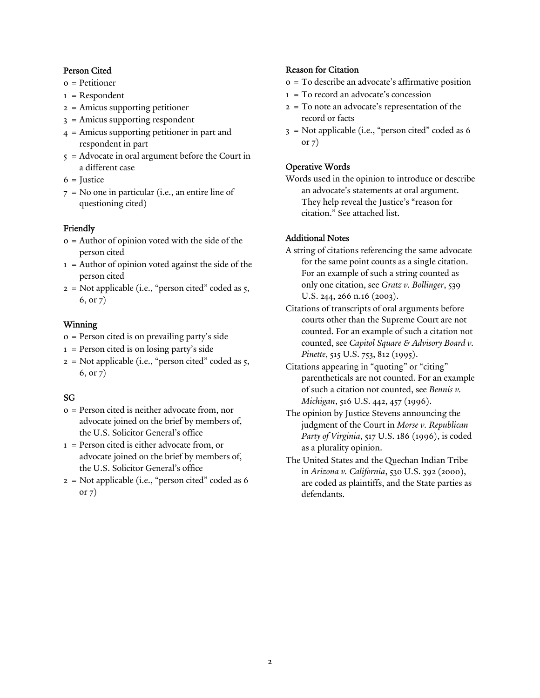## Person Cited

- 0 = Petitioner
- 1 = Respondent
- 2 = Amicus supporting petitioner
- 3 = Amicus supporting respondent
- 4 = Amicus supporting petitioner in part and respondent in part
- 5 = Advocate in oral argument before the Court in a different case
- $6$  = Justice
- 7 = No one in particular (i.e., an entire line of questioning cited)

## Friendly

- 0 = Author of opinion voted with the side of the person cited
- 1 = Author of opinion voted against the side of the person cited
- 2 = Not applicable (i.e., "person cited" coded as 5, 6, or 7)

#### Winning

- 0 = Person cited is on prevailing party's side
- 1 = Person cited is on losing party's side
- $2 =$  Not applicable (i.e., "person cited" coded as  $5$ , 6, or 7)

## SG

- 0 = Person cited is neither advocate from, nor advocate joined on the brief by members of, the U.S. Solicitor General's office
- 1 = Person cited is either advocate from, or advocate joined on the brief by members of, the U.S. Solicitor General's office
- 2 = Not applicable (i.e., "person cited" coded as 6 or 7)

#### Reason for Citation

- 0 = To describe an advocate's affirmative position
- 1 = To record an advocate's concession
- 2 = To note an advocate's representation of the record or facts
- 3 = Not applicable (i.e., "person cited" coded as 6 or 7)

## Operative Words

Words used in the opinion to introduce or describe an advocate's statements at oral argument. They help reveal the Justice's "reason for citation." See attached list.

## Additional Notes

- A string of citations referencing the same advocate for the same point counts as a single citation. For an example of such a string counted as only one citation, see *Gratz v. Bollinger*, 539 U.S. 244, 266 n.16 (2003).
- Citations of transcripts of oral arguments before courts other than the Supreme Court are not counted. For an example of such a citation not counted, see *Capitol Square & Advisory Board v. Pinette*, 515 U.S. 753, 812 (1995).
- Citations appearing in "quoting" or "citing" parentheticals are not counted. For an example of such a citation not counted, see *Bennis v. Michigan*, 516 U.S. 442, 457 (1996).
- The opinion by Justice Stevens announcing the judgment of the Court in *Morse v. Republican Party of Virginia*, 517 U.S. 186 (1996), is coded as a plurality opinion.
- The United States and the Quechan Indian Tribe in *Arizona v. California*, 530 U.S. 392 (2000), are coded as plaintiffs, and the State parties as defendants.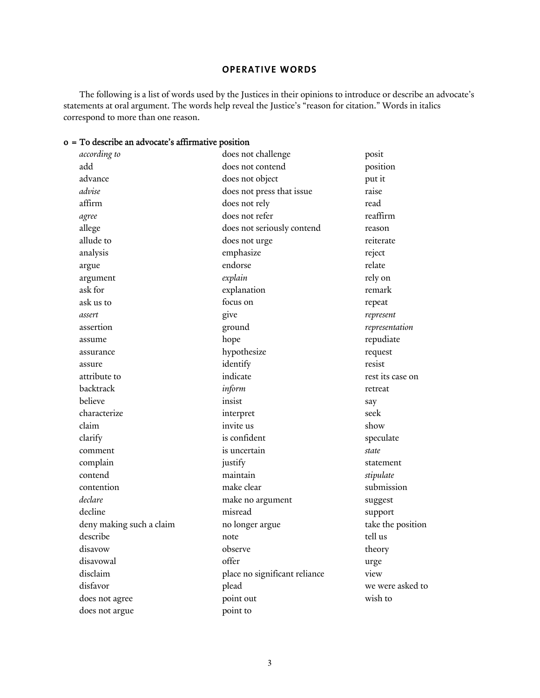## **OPERATIVE WORDS**

The following is a list of words used by the Justices in their opinions to introduce or describe an advocate's statements at oral argument. The words help reveal the Justice's "reason for citation." Words in italics correspond to more than one reason.

# 0 = To describe an advocate's affirmative position

| according to             | does not challenge            | posit             |
|--------------------------|-------------------------------|-------------------|
| add                      | does not contend              | position          |
| advance                  | does not object               | put it            |
| advise                   | does not press that issue     | raise             |
| affirm                   | does not rely                 | read              |
| agree                    | does not refer                | reaffirm          |
| allege                   | does not seriously contend    | reason            |
| allude to                | does not urge                 | reiterate         |
| analysis                 | emphasize                     | reject            |
| argue                    | endorse                       | relate            |
| argument                 | explain                       | rely on           |
| ask for                  | explanation                   | remark            |
| ask us to                | focus on                      | repeat            |
| assert                   | give                          | represent         |
| assertion                | ground                        | representation    |
| assume                   | hope                          | repudiate         |
| assurance                | hypothesize                   | request           |
| assure                   | identify                      | resist            |
| attribute to             | indicate                      | rest its case on  |
| backtrack                | inform                        | retreat           |
| believe                  | insist                        | say               |
| characterize             | interpret                     | seek              |
| claim                    | invite us                     | show              |
| clarify                  | is confident                  | speculate         |
| comment                  | is uncertain                  | state             |
| complain                 | justify                       | statement         |
| contend                  | maintain                      | stipulate         |
| contention               | make clear                    | submission        |
| declare                  | make no argument              | suggest           |
| decline                  | misread                       | support           |
| deny making such a claim | no longer argue               | take the position |
| describe                 | note                          | tell us           |
| disavow                  | observe                       | theory            |
| disavowal                | offer                         | urge              |
| disclaim                 | place no significant reliance | view              |
| disfavor                 | plead                         | we were asked to  |
| does not agree           | point out                     | wish to           |
| does not argue           | point to                      |                   |